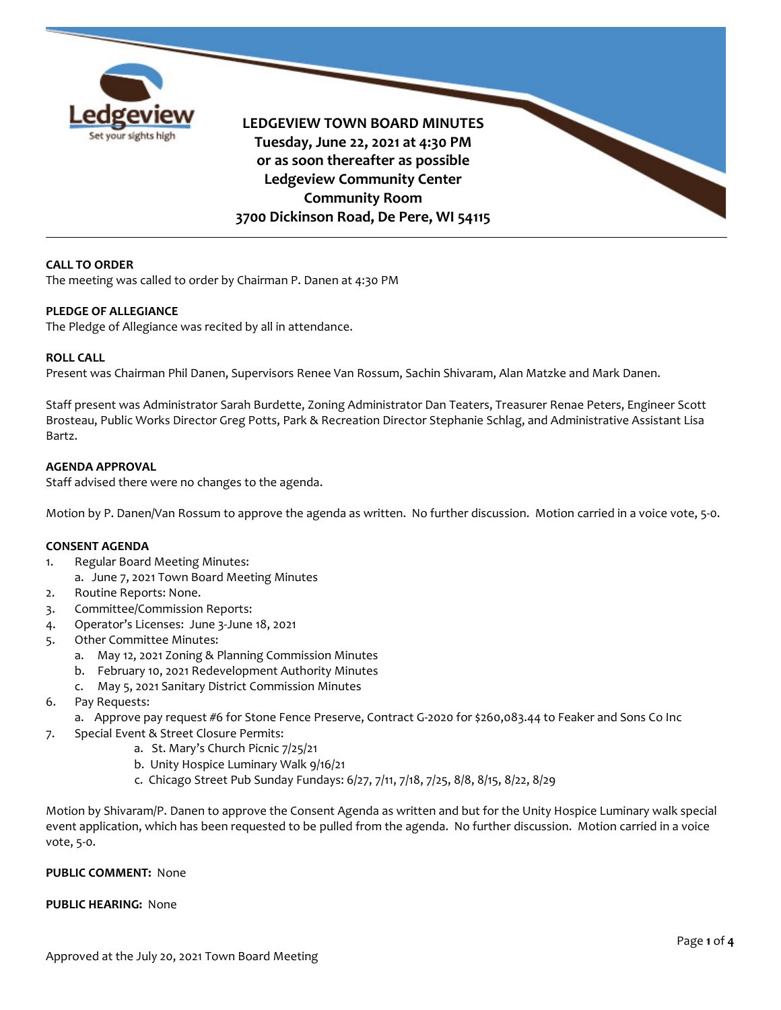

**LEDGEVIEW TOWN BOARD MINUTES Tuesday, June 22, 2021 at 4:30 PM or as soon thereafter as possible Ledgeview Community Center Community Room 3700 Dickinson Road, De Pere, WI 54115**

# **CALL TO ORDER**

The meeting was called to order by Chairman P. Danen at 4:30 PM

### **PLEDGE OF ALLEGIANCE**

The Pledge of Allegiance was recited by all in attendance.

### **ROLL CALL**

Present was Chairman Phil Danen, Supervisors Renee Van Rossum, Sachin Shivaram, Alan Matzke and Mark Danen.

Staff present was Administrator Sarah Burdette, Zoning Administrator Dan Teaters, Treasurer Renae Peters, Engineer Scott Brosteau, Public Works Director Greg Potts, Park & Recreation Director Stephanie Schlag, and Administrative Assistant Lisa Bartz.

# **AGENDA APPROVAL**

Staff advised there were no changes to the agenda.

Motion by P. Danen/Van Rossum to approve the agenda as written. No further discussion. Motion carried in a voice vote, 5-0.

# **CONSENT AGENDA**

- 1. Regular Board Meeting Minutes:
	- a. June 7, 2021 Town Board Meeting Minutes
- 2. Routine Reports: None.
- 3. Committee/Commission Reports:
- 4. Operator's Licenses: June 3-June 18, 2021
- 5. Other Committee Minutes:
	- a. May 12, 2021 Zoning & Planning Commission Minutes
	- b. February 10, 2021 Redevelopment Authority Minutes
	- c. May 5, 2021 Sanitary District Commission Minutes
- 6. Pay Requests:
	- a. Approve pay request #6 for Stone Fence Preserve, Contract G-2020 for \$260,083.44 to Feaker and Sons Co Inc
- 7. Special Event & Street Closure Permits:
	- a. St. Mary's Church Picnic 7/25/21
	- b. Unity Hospice Luminary Walk 9/16/21
	- c. Chicago Street Pub Sunday Fundays: 6/27, 7/11, 7/18, 7/25, 8/8, 8/15, 8/22, 8/29

Motion by Shivaram/P. Danen to approve the Consent Agenda as written and but for the Unity Hospice Luminary walk special event application, which has been requested to be pulled from the agenda. No further discussion. Motion carried in a voice vote, 5-0.

# **PUBLIC COMMENT:** None

# **PUBLIC HEARING:** None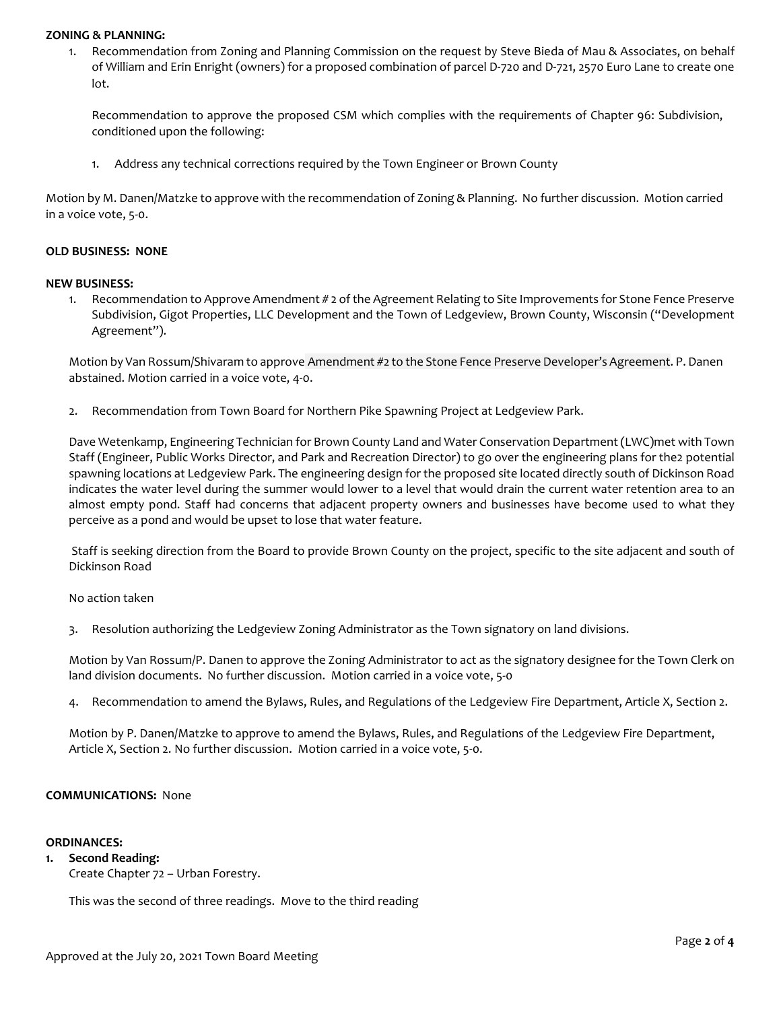#### **ZONING & PLANNING:**

1. Recommendation from Zoning and Planning Commission on the request by Steve Bieda of Mau & Associates, on behalf of William and Erin Enright (owners) for a proposed combination of parcel D-720 and D-721, 2570 Euro Lane to create one lot.

Recommendation to approve the proposed CSM which complies with the requirements of Chapter 96: Subdivision, conditioned upon the following:

1. Address any technical corrections required by the Town Engineer or Brown County

Motion by M. Danen/Matzke to approve with the recommendation of Zoning & Planning. No further discussion. Motion carried in a voice vote, 5-0.

### **OLD BUSINESS: NONE**

#### **NEW BUSINESS:**

1. Recommendation to Approve Amendment # 2 of the Agreement Relating to Site Improvements for Stone Fence Preserve Subdivision, Gigot Properties, LLC Development and the Town of Ledgeview, Brown County, Wisconsin ("Development Agreement").

Motion by Van Rossum/Shivaram to approve Amendment #2 to the Stone Fence Preserve Developer's Agreement. P. Danen abstained. Motion carried in a voice vote, 4-0.

2. Recommendation from Town Board for Northern Pike Spawning Project at Ledgeview Park.

Dave Wetenkamp, Engineering Technician for Brown County Land and Water Conservation Department (LWC)met with Town Staff (Engineer, Public Works Director, and Park and Recreation Director) to go over the engineering plans for the2 potential spawning locations at Ledgeview Park. The engineering design for the proposed site located directly south of Dickinson Road indicates the water level during the summer would lower to a level that would drain the current water retention area to an almost empty pond. Staff had concerns that adjacent property owners and businesses have become used to what they perceive as a pond and would be upset to lose that water feature.

Staff is seeking direction from the Board to provide Brown County on the project, specific to the site adjacent and south of Dickinson Road

No action taken

3. Resolution authorizing the Ledgeview Zoning Administrator as the Town signatory on land divisions.

Motion by Van Rossum/P. Danen to approve the Zoning Administrator to act as the signatory designee for the Town Clerk on land division documents. No further discussion. Motion carried in a voice vote, 5-0

4. Recommendation to amend the Bylaws, Rules, and Regulations of the Ledgeview Fire Department, Article X, Section 2.

Motion by P. Danen/Matzke to approve to amend the Bylaws, Rules, and Regulations of the Ledgeview Fire Department, Article X, Section 2. No further discussion. Motion carried in a voice vote, 5-0.

# **COMMUNICATIONS:** None

### **ORDINANCES:**

**1. Second Reading:** Create Chapter 72 – Urban Forestry.

This was the second of three readings. Move to the third reading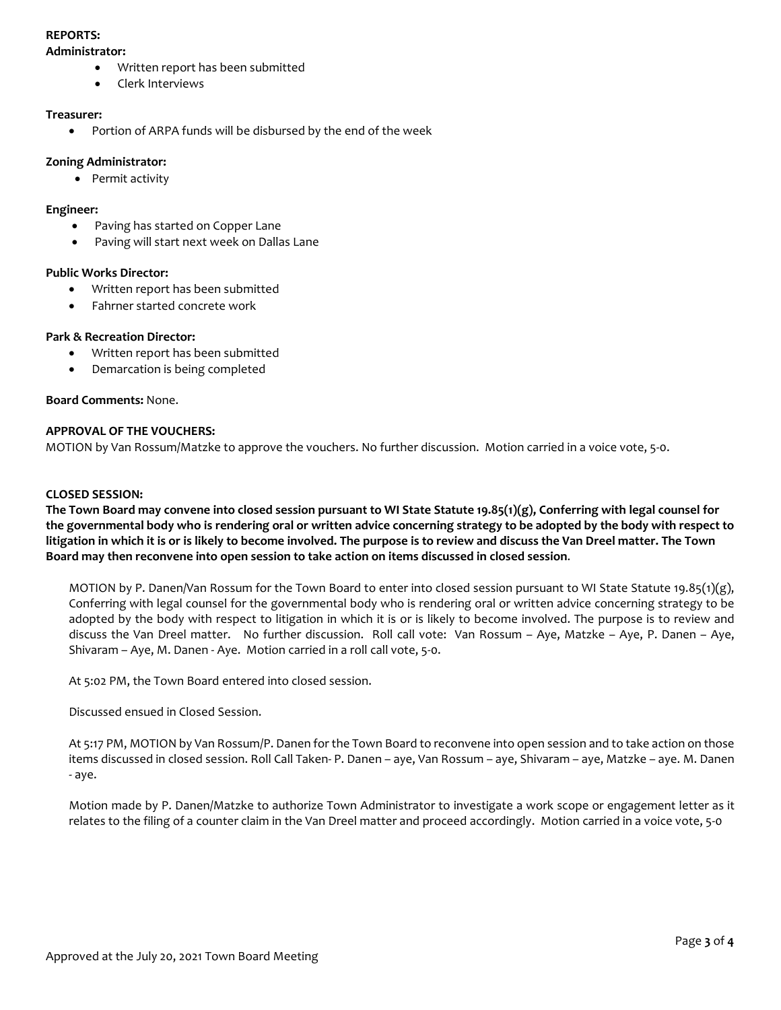# **REPORTS:**

### **Administrator:**

- Written report has been submitted
- Clerk Interviews

### **Treasurer:**

• Portion of ARPA funds will be disbursed by the end of the week

### **Zoning Administrator:**

• Permit activity

# **Engineer:**

- Paving has started on Copper Lane
- Paving will start next week on Dallas Lane

### **Public Works Director:**

- Written report has been submitted
- Fahrner started concrete work

### **Park & Recreation Director:**

- Written report has been submitted
- Demarcation is being completed

### **Board Comments:** None.

### **APPROVAL OF THE VOUCHERS:**

MOTION by Van Rossum/Matzke to approve the vouchers. No further discussion. Motion carried in a voice vote, 5-0.

### **CLOSED SESSION:**

**The Town Board may convene into closed session pursuant to WI State Statute 19.85(1)(g), Conferring with legal counsel for the governmental body who is rendering oral or written advice concerning strategy to be adopted by the body with respect to litigation in which it is or is likely to become involved. The purpose is to review and discuss the Van Dreel matter. The Town Board may then reconvene into open session to take action on items discussed in closed session**.

MOTION by P. Danen/Van Rossum for the Town Board to enter into closed session pursuant to WI State Statute 19.85(1)(g), Conferring with legal counsel for the governmental body who is rendering oral or written advice concerning strategy to be adopted by the body with respect to litigation in which it is or is likely to become involved. The purpose is to review and discuss the Van Dreel matter. No further discussion. Roll call vote: Van Rossum – Aye, Matzke – Aye, P. Danen – Aye, Shivaram – Aye, M. Danen - Aye. Motion carried in a roll call vote, 5-0.

At 5:02 PM, the Town Board entered into closed session.

Discussed ensued in Closed Session.

At 5:17 PM, MOTION by Van Rossum/P. Danen for the Town Board to reconvene into open session and to take action on those items discussed in closed session. Roll Call Taken- P. Danen – aye, Van Rossum – aye, Shivaram – aye, Matzke – aye. M. Danen - aye.

Motion made by P. Danen/Matzke to authorize Town Administrator to investigate a work scope or engagement letter as it relates to the filing of a counter claim in the Van Dreel matter and proceed accordingly. Motion carried in a voice vote, 5-0